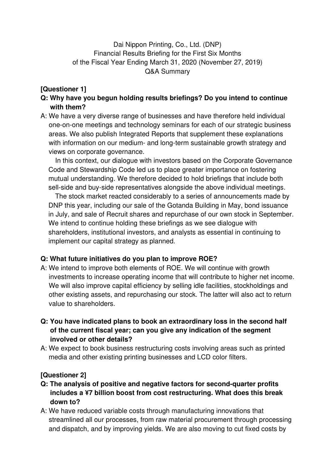# Dai Nippon Printing, Co., Ltd. (DNP) Financial Results Briefing for the First Six Months of the Fiscal Year Ending March 31, 2020 (November 27, 2019) Q&A Summary

# **[Questioner 1]**

- **Q: Why have you begun holding results briefings? Do you intend to continue with them?**
- A: We have a very diverse range of businesses and have therefore held individual one-on-one meetings and technology seminars for each of our strategic business areas. We also publish Integrated Reports that supplement these explanations with information on our medium- and long-term sustainable growth strategy and views on corporate governance.

In this context, our dialogue with investors based on the Corporate Governance Code and Stewardship Code led us to place greater importance on fostering mutual understanding. We therefore decided to hold briefings that include both sell-side and buy-side representatives alongside the above individual meetings.

The stock market reacted considerably to a series of announcements made by DNP this year, including our sale of the Gotanda Building in May, bond issuance in July, and sale of Recruit shares and repurchase of our own stock in September. We intend to continue holding these briefings as we see dialogue with shareholders, institutional investors, and analysts as essential in continuing to implement our capital strategy as planned.

## **Q: What future initiatives do you plan to improve ROE?**

- A: We intend to improve both elements of ROE. We will continue with growth investments to increase operating income that will contribute to higher net income. We will also improve capital efficiency by selling idle facilities, stockholdings and other existing assets, and repurchasing our stock. The latter will also act to return value to shareholders.
- **Q: You have indicated plans to book an extraordinary loss in the second half of the current fiscal year; can you give any indication of the segment involved or other details?**
- A: We expect to book business restructuring costs involving areas such as printed media and other existing printing businesses and LCD color filters.

# **[Questioner 2]**

- **Q: The analysis of positive and negative factors for second-quarter profits includes a ¥7 billion boost from cost restructuring. What does this break down to?**
- A: We have reduced variable costs through manufacturing innovations that streamlined all our processes, from raw material procurement through processing and dispatch, and by improving yields. We are also moving to cut fixed costs by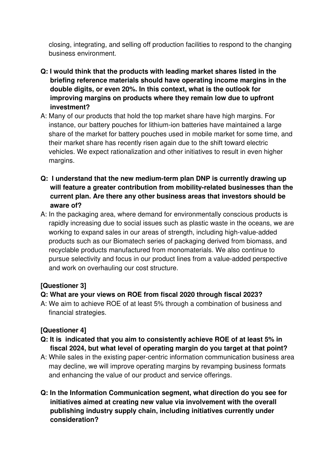closing, integrating, and selling off production facilities to respond to the changing business environment.

- **Q: I would think that the products with leading market shares listed in the briefing reference materials should have operating income margins in the double digits, or even 20%. In this context, what is the outlook for improving margins on products where they remain low due to upfront investment?**
- A: Many of our products that hold the top market share have high margins. For instance, our battery pouches for lithium-ion batteries have maintained a large share of the market for battery pouches used in mobile market for some time, and their market share has recently risen again due to the shift toward electric vehicles. We expect rationalization and other initiatives to result in even higher margins.
- **Q: I understand that the new medium-term plan DNP is currently drawing up will feature a greater contribution from mobility-related businesses than the current plan. Are there any other business areas that investors should be aware of?**
- A: In the packaging area, where demand for environmentally conscious products is rapidly increasing due to social issues such as plastic waste in the oceans, we are working to expand sales in our areas of strength, including high-value-added products such as our Biomatech series of packaging derived from biomass, and recyclable products manufactured from monomaterials. We also continue to pursue selectivity and focus in our product lines from a value-added perspective and work on overhauling our cost structure.

## **[Questioner 3]**

## **Q: What are your views on ROE from fiscal 2020 through fiscal 2023?**

A: We aim to achieve ROE of at least 5% through a combination of business and financial strategies.

#### **[Questioner 4]**

- **Q: It is indicated that you aim to consistently achieve ROE of at least 5% in fiscal 2024, but what level of operating margin do you target at that point?**
- A: While sales in the existing paper-centric information communication business area may decline, we will improve operating margins by revamping business formats and enhancing the value of our product and service offerings.
- **Q: In the Information Communication segment, what direction do you see for initiatives aimed at creating new value via involvement with the overall publishing industry supply chain, including initiatives currently under consideration?**